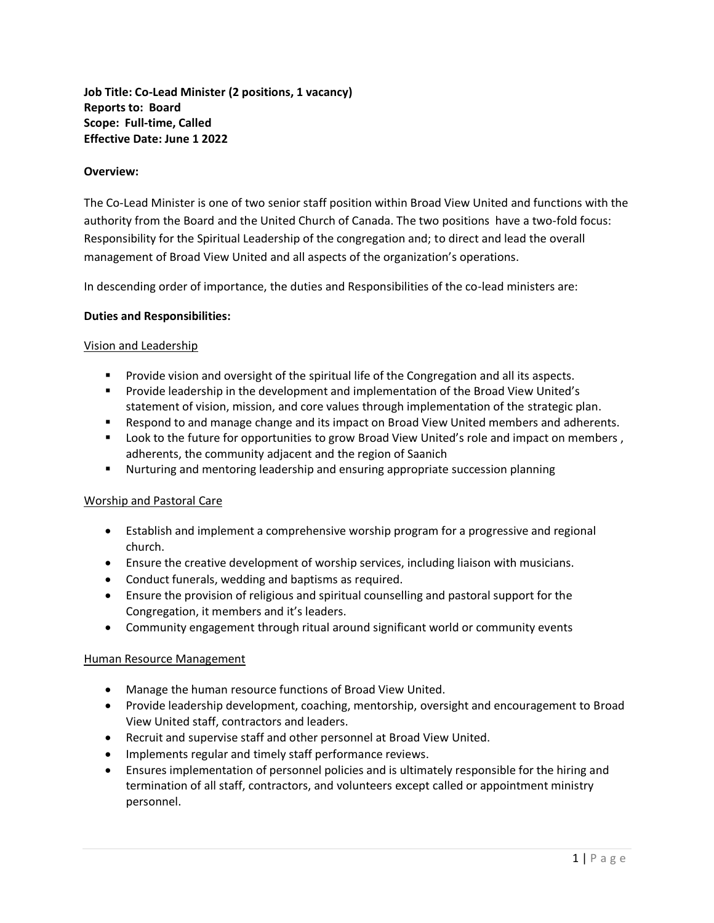**Job Title: Co-Lead Minister (2 positions, 1 vacancy) Reports to: Board Scope: Full-time, Called Effective Date: June 1 2022**

## **Overview:**

The Co-Lead Minister is one of two senior staff position within Broad View United and functions with the authority from the Board and the United Church of Canada. The two positions have a two-fold focus: Responsibility for the Spiritual Leadership of the congregation and; to direct and lead the overall management of Broad View United and all aspects of the organization's operations.

In descending order of importance, the duties and Responsibilities of the co-lead ministers are:

## **Duties and Responsibilities:**

## Vision and Leadership

- Provide vision and oversight of the spiritual life of the Congregation and all its aspects.
- Provide leadership in the development and implementation of the Broad View United's statement of vision, mission, and core values through implementation of the strategic plan.
- Respond to and manage change and its impact on Broad View United members and adherents.
- Look to the future for opportunities to grow Broad View United's role and impact on members, adherents, the community adjacent and the region of Saanich
- Nurturing and mentoring leadership and ensuring appropriate succession planning

#### Worship and Pastoral Care

- Establish and implement a comprehensive worship program for a progressive and regional church.
- Ensure the creative development of worship services, including liaison with musicians.
- Conduct funerals, wedding and baptisms as required.
- Ensure the provision of religious and spiritual counselling and pastoral support for the Congregation, it members and it's leaders.
- Community engagement through ritual around significant world or community events

#### Human Resource Management

- Manage the human resource functions of Broad View United.
- Provide leadership development, coaching, mentorship, oversight and encouragement to Broad View United staff, contractors and leaders.
- Recruit and supervise staff and other personnel at Broad View United.
- Implements regular and timely staff performance reviews.
- Ensures implementation of personnel policies and is ultimately responsible for the hiring and termination of all staff, contractors, and volunteers except called or appointment ministry personnel.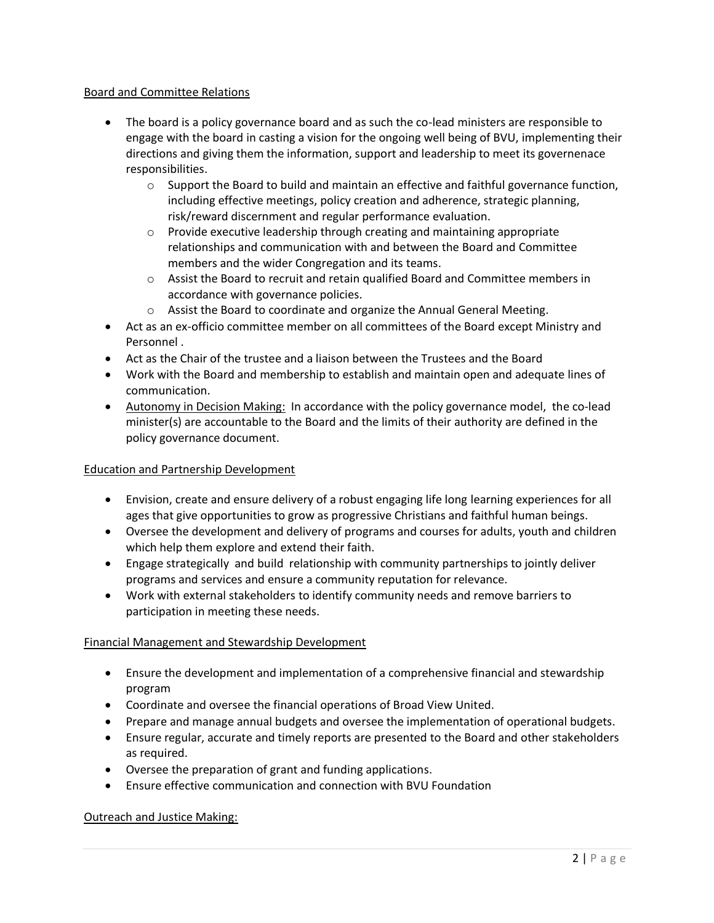## Board and Committee Relations

- The board is a policy governance board and as such the co-lead ministers are responsible to engage with the board in casting a vision for the ongoing well being of BVU, implementing their directions and giving them the information, support and leadership to meet its governenace responsibilities.
	- $\circ$  Support the Board to build and maintain an effective and faithful governance function, including effective meetings, policy creation and adherence, strategic planning, risk/reward discernment and regular performance evaluation.
	- $\circ$  Provide executive leadership through creating and maintaining appropriate relationships and communication with and between the Board and Committee members and the wider Congregation and its teams.
	- $\circ$  Assist the Board to recruit and retain qualified Board and Committee members in accordance with governance policies.
	- o Assist the Board to coordinate and organize the Annual General Meeting.
- Act as an ex-officio committee member on all committees of the Board except Ministry and Personnel .
- Act as the Chair of the trustee and a liaison between the Trustees and the Board
- Work with the Board and membership to establish and maintain open and adequate lines of communication.
- Autonomy in Decision Making: In accordance with the policy governance model, the co-lead minister(s) are accountable to the Board and the limits of their authority are defined in the policy governance document.

# Education and Partnership Development

- Envision, create and ensure delivery of a robust engaging life long learning experiences for all ages that give opportunities to grow as progressive Christians and faithful human beings.
- Oversee the development and delivery of programs and courses for adults, youth and children which help them explore and extend their faith.
- Engage strategically and build relationship with community partnerships to jointly deliver programs and services and ensure a community reputation for relevance.
- Work with external stakeholders to identify community needs and remove barriers to participation in meeting these needs.

# Financial Management and Stewardship Development

- Ensure the development and implementation of a comprehensive financial and stewardship program
- Coordinate and oversee the financial operations of Broad View United.
- Prepare and manage annual budgets and oversee the implementation of operational budgets.
- Ensure regular, accurate and timely reports are presented to the Board and other stakeholders as required.
- Oversee the preparation of grant and funding applications.
- Ensure effective communication and connection with BVU Foundation

# Outreach and Justice Making: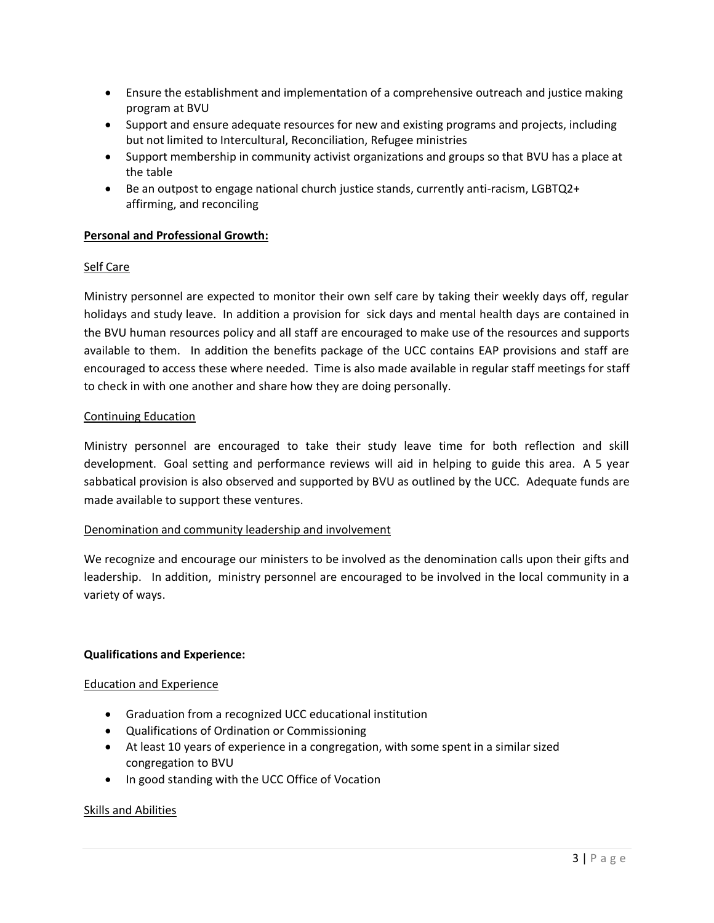- Ensure the establishment and implementation of a comprehensive outreach and justice making program at BVU
- Support and ensure adequate resources for new and existing programs and projects, including but not limited to Intercultural, Reconciliation, Refugee ministries
- Support membership in community activist organizations and groups so that BVU has a place at the table
- Be an outpost to engage national church justice stands, currently anti-racism, LGBTQ2+ affirming, and reconciling

## **Personal and Professional Growth:**

## Self Care

Ministry personnel are expected to monitor their own self care by taking their weekly days off, regular holidays and study leave. In addition a provision for sick days and mental health days are contained in the BVU human resources policy and all staff are encouraged to make use of the resources and supports available to them. In addition the benefits package of the UCC contains EAP provisions and staff are encouraged to access these where needed. Time is also made available in regular staff meetings for staff to check in with one another and share how they are doing personally.

## Continuing Education

Ministry personnel are encouraged to take their study leave time for both reflection and skill development. Goal setting and performance reviews will aid in helping to guide this area. A 5 year sabbatical provision is also observed and supported by BVU as outlined by the UCC. Adequate funds are made available to support these ventures.

## Denomination and community leadership and involvement

We recognize and encourage our ministers to be involved as the denomination calls upon their gifts and leadership. In addition, ministry personnel are encouraged to be involved in the local community in a variety of ways.

## **Qualifications and Experience:**

## Education and Experience

- Graduation from a recognized UCC educational institution
- Qualifications of Ordination or Commissioning
- At least 10 years of experience in a congregation, with some spent in a similar sized congregation to BVU
- In good standing with the UCC Office of Vocation

## Skills and Abilities